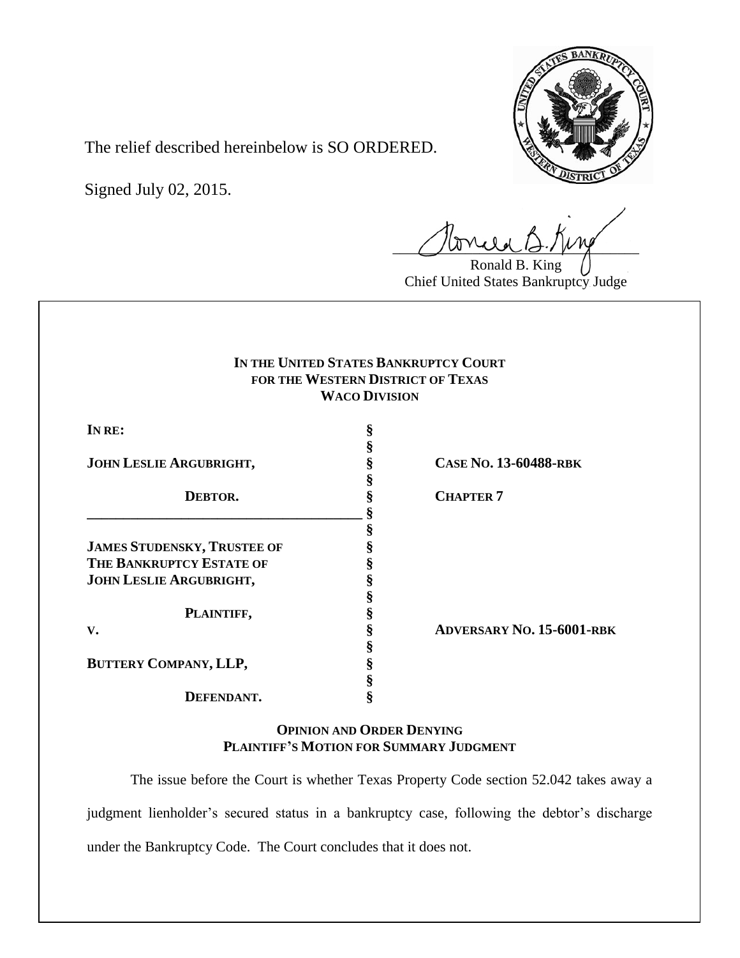

The relief described hereinbelow is SO ORDERED.

Signed July 02, 2015.

 $U$ unde  $G. \mu$ 

Ronald B. King Chief United States Bankruptcy Judge

# **IN THE UNITED STATES BANKRUPTCY COURT FOR THE WESTERN DISTRICT OF TEXAS WACO DIVISION**

**§**

**§**

**§**

**JOHN LESLIE ARGUBRIGHT, § CASE NO. 13-60488-RBK**

| DEBTOR.                            |   |
|------------------------------------|---|
|                                    | ş |
| <b>JAMES STUDENSKY, TRUSTEE OF</b> |   |
| <b>THE BANKRUPTCY ESTATE OF</b>    | § |
| <b>JOHN LESLIE ARGUBRIGHT,</b>     | ş |
|                                    | § |
| PLAINTIFF,                         |   |
| $V_{\bullet}$                      | ş |
|                                    | ş |
| <b>BUTTERY COMPANY, LLP,</b>       |   |

**DEFENDANT. §**

**DEBTOR. § CHAPTER 7**

**V. § ADVERSARY NO. 15-6001-RBK**

**OPINION AND ORDER DENYING PLAINTIFF'S MOTION FOR SUMMARY JUDGMENT**

The issue before the Court is whether Texas Property Code section 52.042 takes away a judgment lienholder's secured status in a bankruptcy case, following the debtor's discharge under the Bankruptcy Code. The Court concludes that it does not.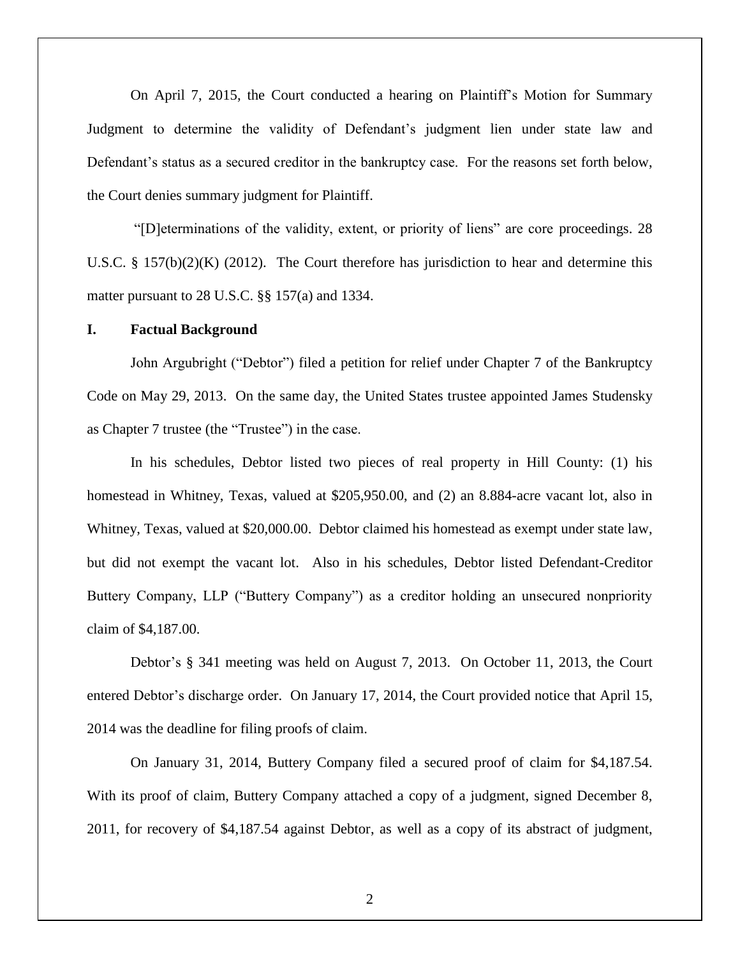On April 7, 2015, the Court conducted a hearing on Plaintiff's Motion for Summary Judgment to determine the validity of Defendant's judgment lien under state law and Defendant's status as a secured creditor in the bankruptcy case. For the reasons set forth below, the Court denies summary judgment for Plaintiff.

"[D]eterminations of the validity, extent, or priority of liens" are core proceedings. 28 U.S.C. § 157(b)(2)(K) (2012). The Court therefore has jurisdiction to hear and determine this matter pursuant to 28 U.S.C. §§ 157(a) and 1334.

#### **I. Factual Background**

John Argubright ("Debtor") filed a petition for relief under Chapter 7 of the Bankruptcy Code on May 29, 2013. On the same day, the United States trustee appointed James Studensky as Chapter 7 trustee (the "Trustee") in the case.

In his schedules, Debtor listed two pieces of real property in Hill County: (1) his homestead in Whitney, Texas, valued at \$205,950.00, and (2) an 8.884-acre vacant lot, also in Whitney, Texas, valued at \$20,000.00. Debtor claimed his homestead as exempt under state law, but did not exempt the vacant lot. Also in his schedules, Debtor listed Defendant-Creditor Buttery Company, LLP ("Buttery Company") as a creditor holding an unsecured nonpriority claim of \$4,187.00.

Debtor's § 341 meeting was held on August 7, 2013. On October 11, 2013, the Court entered Debtor's discharge order. On January 17, 2014, the Court provided notice that April 15, 2014 was the deadline for filing proofs of claim.

On January 31, 2014, Buttery Company filed a secured proof of claim for \$4,187.54. With its proof of claim, Buttery Company attached a copy of a judgment, signed December 8, 2011, for recovery of \$4,187.54 against Debtor, as well as a copy of its abstract of judgment,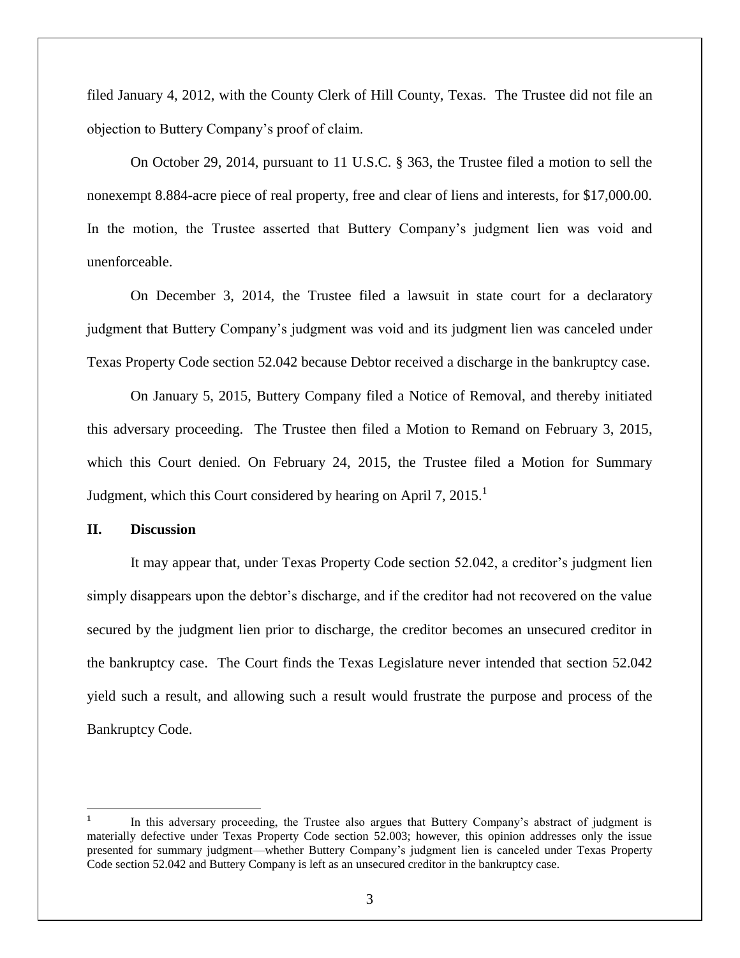filed January 4, 2012, with the County Clerk of Hill County, Texas. The Trustee did not file an objection to Buttery Company's proof of claim.

On October 29, 2014, pursuant to 11 U.S.C. § 363, the Trustee filed a motion to sell the nonexempt 8.884-acre piece of real property, free and clear of liens and interests, for \$17,000.00. In the motion, the Trustee asserted that Buttery Company's judgment lien was void and unenforceable.

On December 3, 2014, the Trustee filed a lawsuit in state court for a declaratory judgment that Buttery Company's judgment was void and its judgment lien was canceled under Texas Property Code section 52.042 because Debtor received a discharge in the bankruptcy case.

On January 5, 2015, Buttery Company filed a Notice of Removal, and thereby initiated this adversary proceeding. The Trustee then filed a Motion to Remand on February 3, 2015, which this Court denied. On February 24, 2015, the Trustee filed a Motion for Summary Judgment, which this Court considered by hearing on April 7,  $2015<sup>1</sup>$ 

#### **II. Discussion**

 $\overline{\phantom{a}}$ 

It may appear that, under Texas Property Code section 52.042, a creditor's judgment lien simply disappears upon the debtor's discharge, and if the creditor had not recovered on the value secured by the judgment lien prior to discharge, the creditor becomes an unsecured creditor in the bankruptcy case. The Court finds the Texas Legislature never intended that section 52.042 yield such a result, and allowing such a result would frustrate the purpose and process of the Bankruptcy Code.

**<sup>1</sup>** In this adversary proceeding, the Trustee also argues that Buttery Company's abstract of judgment is materially defective under Texas Property Code section 52.003; however, this opinion addresses only the issue presented for summary judgment—whether Buttery Company's judgment lien is canceled under Texas Property Code section 52.042 and Buttery Company is left as an unsecured creditor in the bankruptcy case.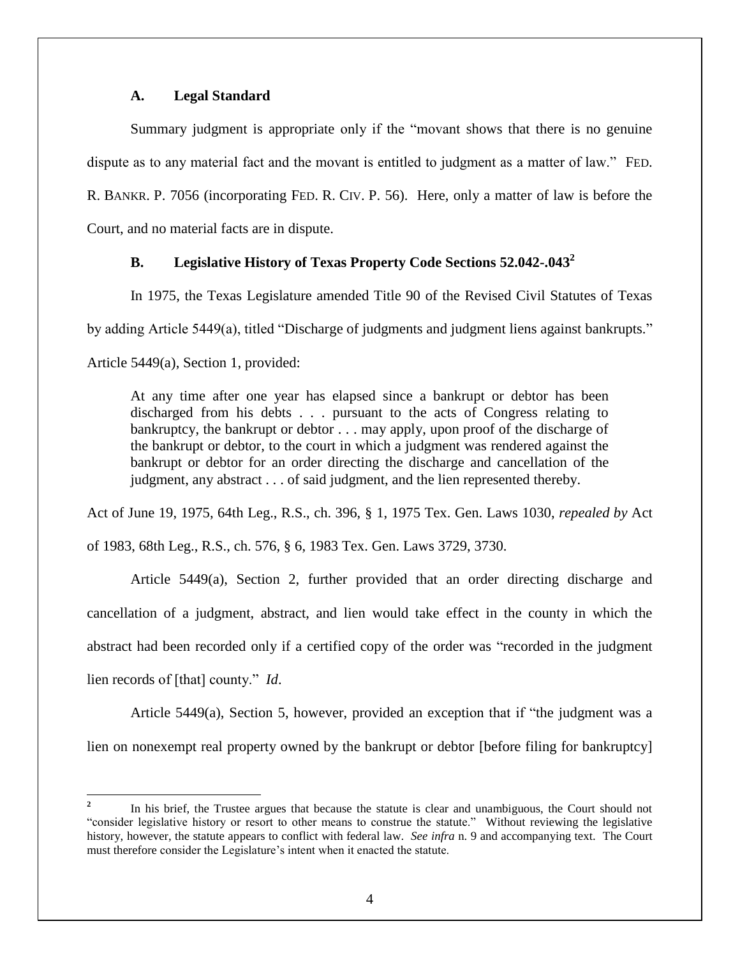# **A. Legal Standard**

Summary judgment is appropriate only if the "movant shows that there is no genuine dispute as to any material fact and the movant is entitled to judgment as a matter of law." FED. R. BANKR. P. 7056 (incorporating FED. R. CIV. P. 56). Here, only a matter of law is before the Court, and no material facts are in dispute.

# **B. Legislative History of Texas Property Code Sections 52.042-.043<sup>2</sup>**

In 1975, the Texas Legislature amended Title 90 of the Revised Civil Statutes of Texas

by adding Article 5449(a), titled "Discharge of judgments and judgment liens against bankrupts."

Article 5449(a), Section 1, provided:

At any time after one year has elapsed since a bankrupt or debtor has been discharged from his debts . . . pursuant to the acts of Congress relating to bankruptcy, the bankrupt or debtor . . . may apply, upon proof of the discharge of the bankrupt or debtor, to the court in which a judgment was rendered against the bankrupt or debtor for an order directing the discharge and cancellation of the judgment, any abstract . . . of said judgment, and the lien represented thereby.

Act of June 19, 1975, 64th Leg., R.S., ch. 396, § 1, 1975 Tex. Gen. Laws 1030, *repealed by* Act of 1983, 68th Leg., R.S., ch. 576, § 6, 1983 Tex. Gen. Laws 3729, 3730.

Article  $5449(a)$ , Section 2, further provided that an order directing discharge and cancellation of a judgment, abstract, and lien would take effect in the county in which the abstract had been recorded only if a certified copy of the order was "recorded in the judgment lien records of [that] county." *Id*.

Article 5449(a), Section 5, however, provided an exception that if "the judgment was a lien on nonexempt real property owned by the bankrupt or debtor [before filing for bankruptcy]

 $\overline{a}$ **2** In his brief, the Trustee argues that because the statute is clear and unambiguous, the Court should not "consider legislative history or resort to other means to construe the statute." Without reviewing the legislative history, however, the statute appears to conflict with federal law. *See infra* n. 9 and accompanying text. The Court must therefore consider the Legislature's intent when it enacted the statute.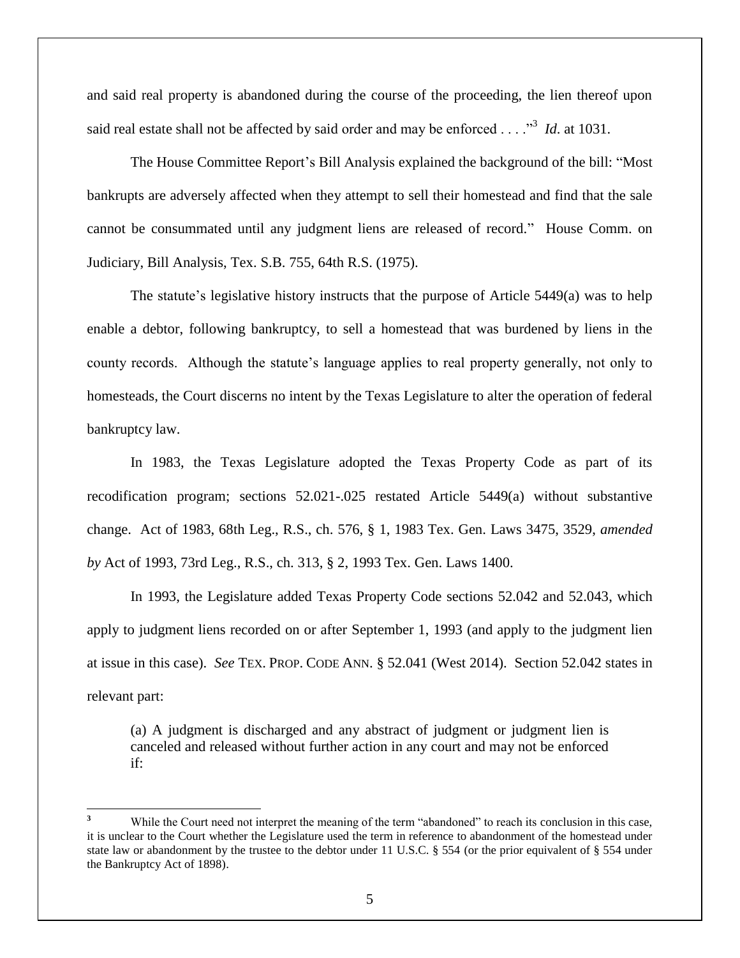and said real property is abandoned during the course of the proceeding, the lien thereof upon said real estate shall not be affected by said order and may be enforced . . . .<sup>33</sup> *Id*. at 1031.

The House Committee Report's Bill Analysis explained the background of the bill: "Most bankrupts are adversely affected when they attempt to sell their homestead and find that the sale cannot be consummated until any judgment liens are released of record." House Comm. on Judiciary, Bill Analysis, Tex. S.B. 755, 64th R.S. (1975).

The statute's legislative history instructs that the purpose of Article 5449(a) was to help enable a debtor, following bankruptcy, to sell a homestead that was burdened by liens in the county records. Although the statute's language applies to real property generally, not only to homesteads, the Court discerns no intent by the Texas Legislature to alter the operation of federal bankruptcy law.

In 1983, the Texas Legislature adopted the Texas Property Code as part of its recodification program; sections 52.021-.025 restated Article 5449(a) without substantive change. Act of 1983, 68th Leg., R.S., ch. 576, § 1, 1983 Tex. Gen. Laws 3475, 3529, *amended by* Act of 1993, 73rd Leg., R.S., ch. 313, § 2, 1993 Tex. Gen. Laws 1400.

In 1993, the Legislature added Texas Property Code sections 52.042 and 52.043, which apply to judgment liens recorded on or after September 1, 1993 (and apply to the judgment lien at issue in this case). *See* TEX. PROP. CODE ANN. § 52.041 (West 2014). Section 52.042 states in relevant part:

(a) A judgment is discharged and any abstract of judgment or judgment lien is canceled and released without further action in any court and may not be enforced if:

 $\overline{\phantom{a}}$ 

**<sup>3</sup>** While the Court need not interpret the meaning of the term "abandoned" to reach its conclusion in this case, it is unclear to the Court whether the Legislature used the term in reference to abandonment of the homestead under state law or abandonment by the trustee to the debtor under 11 U.S.C. § 554 (or the prior equivalent of § 554 under the Bankruptcy Act of 1898).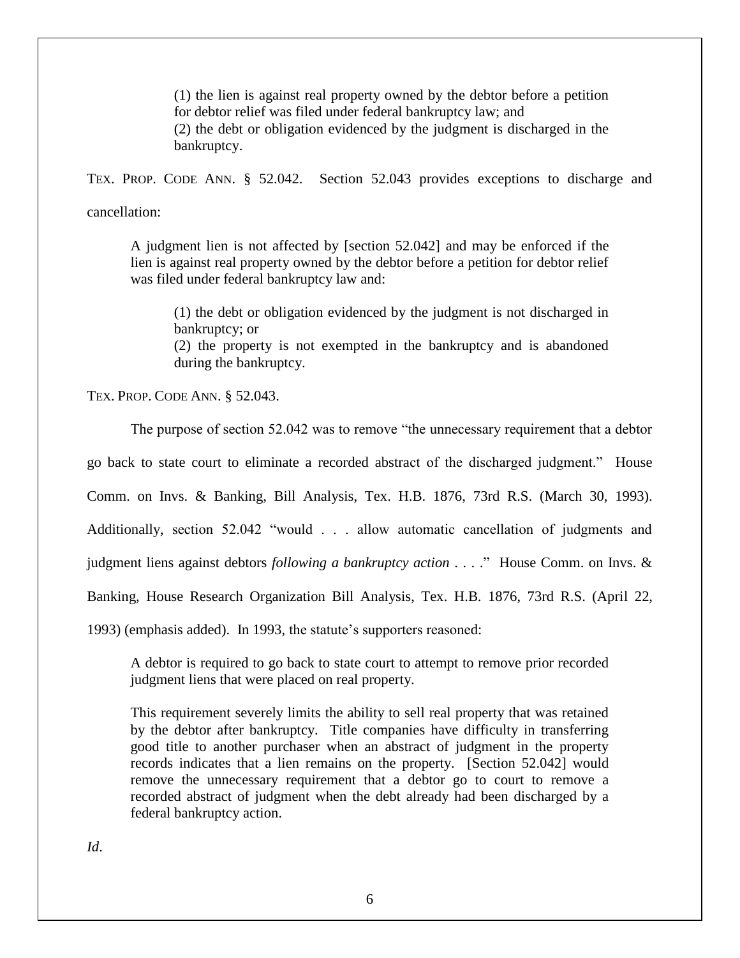(1) the lien is against real property owned by the debtor before a petition for debtor relief was filed under federal bankruptcy law; and (2) the debt or obligation evidenced by the judgment is discharged in the bankruptcy.

TEX. PROP. CODE ANN. § 52.042. Section 52.043 provides exceptions to discharge and

cancellation:

A judgment lien is not affected by [section 52.042] and may be enforced if the lien is against real property owned by the debtor before a petition for debtor relief was filed under federal bankruptcy law and:

(1) the debt or obligation evidenced by the judgment is not discharged in bankruptcy; or (2) the property is not exempted in the bankruptcy and is abandoned during the bankruptcy.

TEX. PROP. CODE ANN. § 52.043.

The purpose of section 52.042 was to remove "the unnecessary requirement that a debtor go back to state court to eliminate a recorded abstract of the discharged judgment." House Comm. on Invs. & Banking, Bill Analysis, Tex. H.B. 1876, 73rd R.S. (March 30, 1993). Additionally, section 52.042 "would . . . allow automatic cancellation of judgments and judgment liens against debtors *following a bankruptcy action* . . . ." House Comm. on Invs. & Banking, House Research Organization Bill Analysis, Tex. H.B. 1876, 73rd R.S. (April 22, 1993) (emphasis added). In 1993, the statute's supporters reasoned:

A debtor is required to go back to state court to attempt to remove prior recorded judgment liens that were placed on real property.

This requirement severely limits the ability to sell real property that was retained by the debtor after bankruptcy. Title companies have difficulty in transferring good title to another purchaser when an abstract of judgment in the property records indicates that a lien remains on the property. [Section 52.042] would remove the unnecessary requirement that a debtor go to court to remove a recorded abstract of judgment when the debt already had been discharged by a federal bankruptcy action.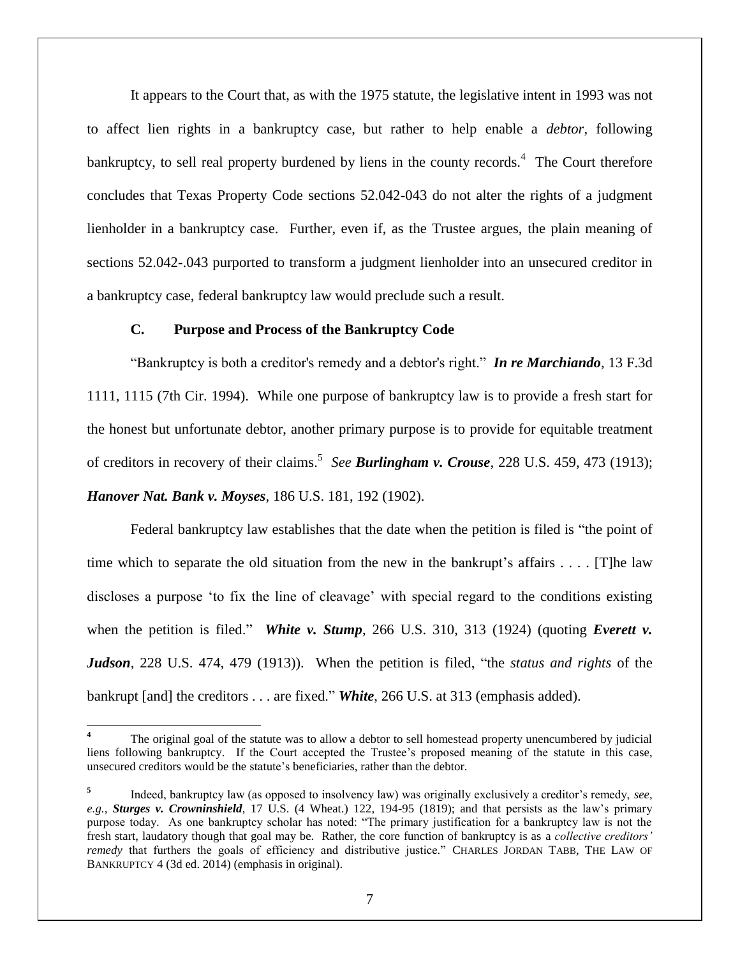It appears to the Court that, as with the 1975 statute, the legislative intent in 1993 was not to affect lien rights in a bankruptcy case, but rather to help enable a *debtor*, following bankruptcy, to sell real property burdened by liens in the county records.<sup>4</sup> The Court therefore concludes that Texas Property Code sections 52.042-043 do not alter the rights of a judgment lienholder in a bankruptcy case. Further, even if, as the Trustee argues, the plain meaning of sections 52.042-.043 purported to transform a judgment lienholder into an unsecured creditor in a bankruptcy case, federal bankruptcy law would preclude such a result.

### **C. Purpose and Process of the Bankruptcy Code**

 $\overline{\phantom{a}}$ 

"Bankruptcy is both a creditor's remedy and a debtor's right." *In re Marchiando,* 13 F.3d 1111, 1115 (7th Cir. 1994). While one purpose of bankruptcy law is to provide a fresh start for the honest but unfortunate debtor, another primary purpose is to provide for equitable treatment of creditors in recovery of their claims. 5 *See Burlingham v. Crouse*, 228 U.S. 459, 473 (1913); *Hanover Nat. Bank v. Moyses*, 186 U.S. 181, 192 (1902).

Federal bankruptcy law establishes that the date when the petition is filed is "the point of time which to separate the old situation from the new in the bankrupt's affairs . . . . [T]he law discloses a purpose 'to fix the line of cleavage' with special regard to the conditions existing when the petition is filed." *White v. Stump*, 266 U.S. 310, 313 (1924) (quoting *Everett v. Judson*, 228 U.S. 474, 479 (1913)). When the petition is filed, "the *status and rights* of the bankrupt [and] the creditors . . . are fixed." *White*, 266 U.S. at 313 (emphasis added).

**<sup>4</sup>** The original goal of the statute was to allow a debtor to sell homestead property unencumbered by judicial liens following bankruptcy. If the Court accepted the Trustee's proposed meaning of the statute in this case, unsecured creditors would be the statute's beneficiaries, rather than the debtor.

**<sup>5</sup>** Indeed, bankruptcy law (as opposed to insolvency law) was originally exclusively a creditor's remedy, *see, e.g., Sturges v. Crowninshield*, 17 U.S. (4 Wheat.) 122, 194-95 (1819); and that persists as the law's primary purpose today. As one bankruptcy scholar has noted: "The primary justification for a bankruptcy law is not the fresh start, laudatory though that goal may be. Rather, the core function of bankruptcy is as a *collective creditors' remedy* that furthers the goals of efficiency and distributive justice." CHARLES JORDAN TABB, THE LAW OF BANKRUPTCY 4 (3d ed. 2014) (emphasis in original).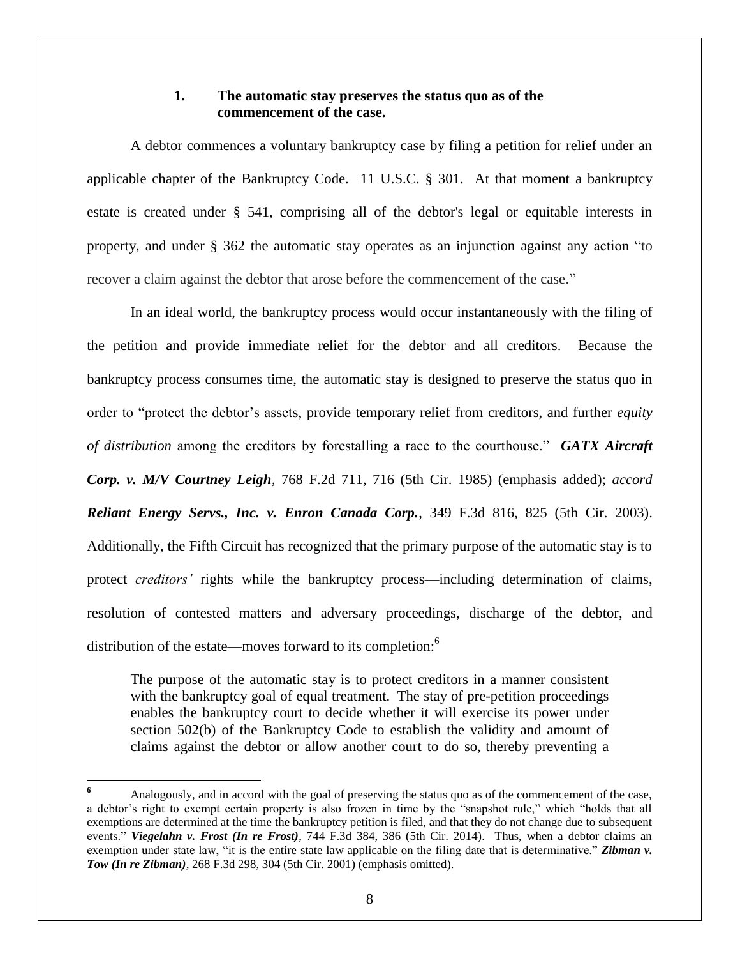# **1. The automatic stay preserves the status quo as of the commencement of the case.**

A debtor commences a voluntary bankruptcy case by filing a petition for relief under an applicable chapter of the Bankruptcy Code. 11 U.S.C. § 301. At that moment a bankruptcy estate is created under § 541, comprising all of the debtor's legal or equitable interests in property, and under § 362 the automatic stay operates as an injunction against any action "to recover a claim against the debtor that arose before the commencement of the case."

In an ideal world, the bankruptcy process would occur instantaneously with the filing of the petition and provide immediate relief for the debtor and all creditors. Because the bankruptcy process consumes time, the automatic stay is designed to preserve the status quo in order to "protect the debtor's assets, provide temporary relief from creditors, and further *equity of distribution* among the creditors by forestalling a race to the courthouse." *GATX Aircraft Corp. v. M/V Courtney Leigh,* 768 F.2d 711, 716 (5th Cir. 1985) (emphasis added); *accord Reliant Energy Servs., Inc. v. Enron Canada Corp.*, 349 F.3d 816, 825 (5th Cir. 2003). Additionally, the Fifth Circuit has recognized that the primary purpose of the automatic stay is to protect *creditors'* rights while the bankruptcy process—including determination of claims, resolution of contested matters and adversary proceedings, discharge of the debtor, and distribution of the estate—moves forward to its completion:<sup>6</sup>

The purpose of the automatic stay is to protect creditors in a manner consistent with the bankruptcy goal of equal treatment. The stay of pre-petition proceedings enables the bankruptcy court to decide whether it will exercise its power under section 502(b) of the Bankruptcy Code to establish the validity and amount of claims against the debtor or allow another court to do so, thereby preventing a

l

**<sup>6</sup>** Analogously, and in accord with the goal of preserving the status quo as of the commencement of the case, a debtor's right to exempt certain property is also frozen in time by the "snapshot rule," which "holds that all exemptions are determined at the time the bankruptcy petition is filed, and that they do not change due to subsequent events." *Viegelahn v. Frost (In re Frost)*, 744 F.3d 384, 386 (5th Cir. 2014). Thus, when a debtor claims an exemption under state law, "it is the entire state law applicable on the filing date that is determinative." **Zibman v.** *Tow (In re Zibman),* 268 F.3d 298, 304 (5th Cir. 2001) (emphasis omitted).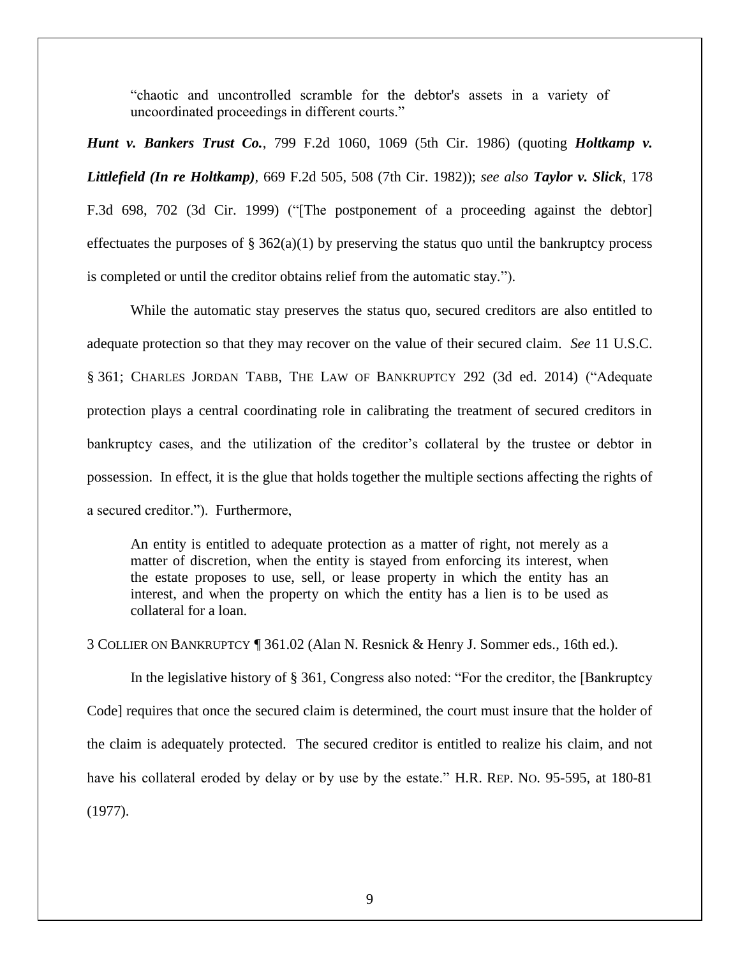"chaotic and uncontrolled scramble for the debtor's assets in a variety of uncoordinated proceedings in different courts."

*Hunt v. Bankers Trust Co.*, 799 F.2d 1060, 1069 (5th Cir. 1986) (quoting *Holtkamp v. Littlefield (In re Holtkamp),* 669 F.2d 505, 508 (7th Cir. 1982)); *see also Taylor v. Slick*, 178 F.3d 698, 702 (3d Cir. 1999) ("[The postponement of a proceeding against the debtor] effectuates the purposes of  $\S 362(a)(1)$  by preserving the status quo until the bankruptcy process is completed or until the creditor obtains relief from the automatic stay.").

While the automatic stay preserves the status quo, secured creditors are also entitled to adequate protection so that they may recover on the value of their secured claim. *See* 11 U.S.C. § 361; CHARLES JORDAN TABB, THE LAW OF BANKRUPTCY 292 (3d ed. 2014) ("Adequate protection plays a central coordinating role in calibrating the treatment of secured creditors in bankruptcy cases, and the utilization of the creditor's collateral by the trustee or debtor in possession. In effect, it is the glue that holds together the multiple sections affecting the rights of a secured creditor."). Furthermore,

An entity is entitled to adequate protection as a matter of right, not merely as a matter of discretion, when the entity is stayed from enforcing its interest, when the estate proposes to use, sell, or lease property in which the entity has an interest, and when the property on which the entity has a lien is to be used as collateral for a loan.

3 COLLIER ON BANKRUPTCY ¶ 361.02 (Alan N. Resnick & Henry J. Sommer eds., 16th ed.).

In the legislative history of § 361, Congress also noted: "For the creditor, the [Bankruptcy Code] requires that once the secured claim is determined, the court must insure that the holder of the claim is adequately protected. The secured creditor is entitled to realize his claim, and not have his collateral eroded by delay or by use by the estate." H.R. REP. NO. 95-595, at 180-81 (1977).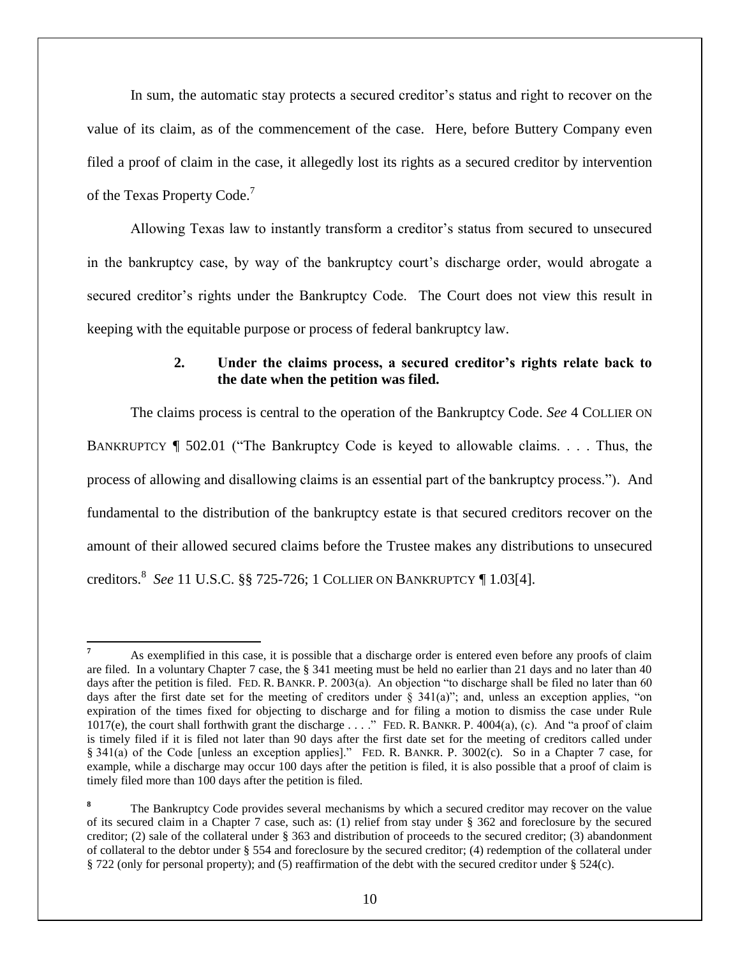In sum, the automatic stay protects a secured creditor's status and right to recover on the value of its claim, as of the commencement of the case. Here, before Buttery Company even filed a proof of claim in the case, it allegedly lost its rights as a secured creditor by intervention of the Texas Property Code.<sup>7</sup>

Allowing Texas law to instantly transform a creditor's status from secured to unsecured in the bankruptcy case, by way of the bankruptcy court's discharge order, would abrogate a secured creditor's rights under the Bankruptcy Code. The Court does not view this result in keeping with the equitable purpose or process of federal bankruptcy law.

# **2. Under the claims process, a secured creditor's rights relate back to the date when the petition was filed.**

The claims process is central to the operation of the Bankruptcy Code. *See* 4 COLLIER ON BANKRUPTCY ¶ 502.01 ("The Bankruptcy Code is keyed to allowable claims. . . . Thus, the process of allowing and disallowing claims is an essential part of the bankruptcy process."). And fundamental to the distribution of the bankruptcy estate is that secured creditors recover on the amount of their allowed secured claims before the Trustee makes any distributions to unsecured creditors. 8 *See* 11 U.S.C. §§ 725-726; 1 COLLIER ON BANKRUPTCY ¶ 1.03[4].

 $\overline{\phantom{a}}$ 

**<sup>7</sup>** As exemplified in this case, it is possible that a discharge order is entered even before any proofs of claim are filed. In a voluntary Chapter 7 case, the § 341 meeting must be held no earlier than 21 days and no later than 40 days after the petition is filed. FED. R. BANKR. P. 2003(a). An objection "to discharge shall be filed no later than 60 days after the first date set for the meeting of creditors under § 341(a)"; and, unless an exception applies, "on expiration of the times fixed for objecting to discharge and for filing a motion to dismiss the case under Rule 1017(e), the court shall forthwith grant the discharge  $\dots$ ." FED. R. BANKR. P. 4004(a), (c). And "a proof of claim is timely filed if it is filed not later than 90 days after the first date set for the meeting of creditors called under § 341(a) of the Code [unless an exception applies]." FED. R. BANKR. P. 3002(c). So in a Chapter 7 case, for example, while a discharge may occur 100 days after the petition is filed, it is also possible that a proof of claim is timely filed more than 100 days after the petition is filed.

**<sup>8</sup>** The Bankruptcy Code provides several mechanisms by which a secured creditor may recover on the value of its secured claim in a Chapter 7 case, such as: (1) relief from stay under § 362 and foreclosure by the secured creditor; (2) sale of the collateral under § 363 and distribution of proceeds to the secured creditor; (3) abandonment of collateral to the debtor under § 554 and foreclosure by the secured creditor; (4) redemption of the collateral under § 722 (only for personal property); and (5) reaffirmation of the debt with the secured creditor under § 524(c).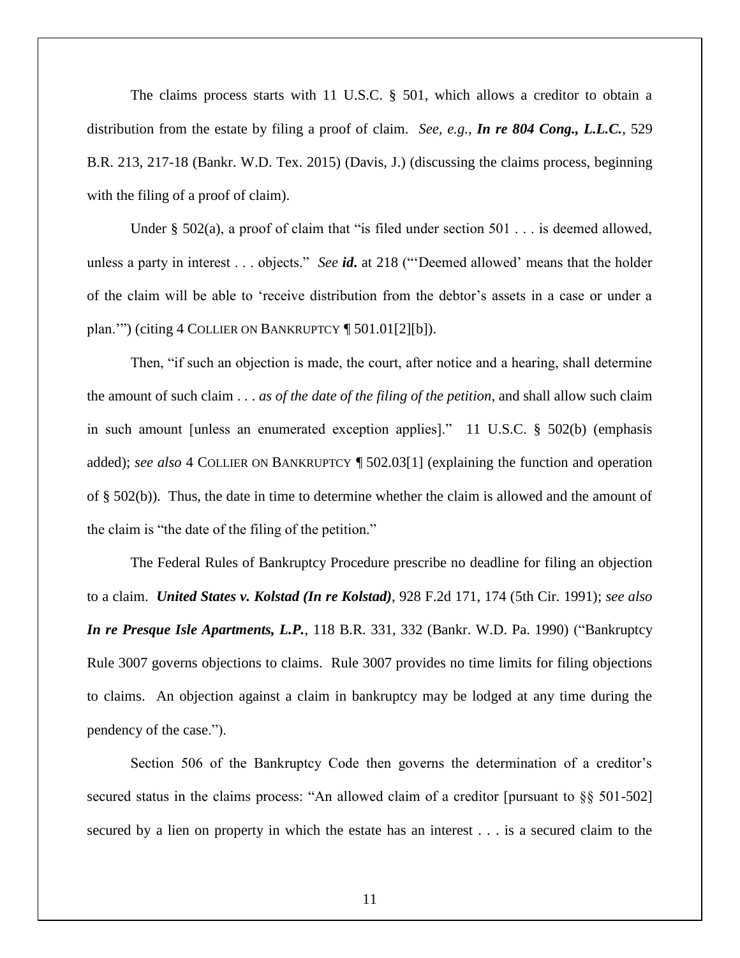The claims process starts with 11 U.S.C.  $\S$  501, which allows a creditor to obtain a distribution from the estate by filing a proof of claim. *See, e.g.*, *In re 804 Cong., L.L.C.*, 529 B.R. 213, 217-18 (Bankr. W.D. Tex. 2015) (Davis, J.) (discussing the claims process, beginning with the filing of a proof of claim).

Under § 502(a), a proof of claim that "is filed under section  $501$ ... is deemed allowed, unless a party in interest . . . objects." *See id***.** at 218 ("'Deemed allowed' means that the holder of the claim will be able to 'receive distribution from the debtor's assets in a case or under a plan.'") (citing 4 COLLIER ON BANKRUPTCY ¶ 501.01[2][b]).

Then, "if such an objection is made, the court, after notice and a hearing, shall determine the amount of such claim . . . *as of the date of the filing of the petition*, and shall allow such claim in such amount [unless an enumerated exception applies]." 11 U.S.C. § 502(b) (emphasis added); *see also* 4 COLLIER ON BANKRUPTCY ¶ 502.03[1] (explaining the function and operation of § 502(b)). Thus, the date in time to determine whether the claim is allowed and the amount of the claim is "the date of the filing of the petition."

The Federal Rules of Bankruptcy Procedure prescribe no deadline for filing an objection to a claim. *United States v. Kolstad (In re Kolstad)*, 928 F.2d 171, 174 (5th Cir. 1991); *see also In re Presque Isle Apartments, L.P.*, 118 B.R. 331, 332 (Bankr. W.D. Pa. 1990) ("Bankruptcy Rule 3007 governs objections to claims. Rule 3007 provides no time limits for filing objections to claims. An objection against a claim in bankruptcy may be lodged at any time during the pendency of the case.").

Section 506 of the Bankruptcy Code then governs the determination of a creditor's secured status in the claims process: "An allowed claim of a creditor [pursuant to §§ 501-502] secured by a lien on property in which the estate has an interest . . . is a secured claim to the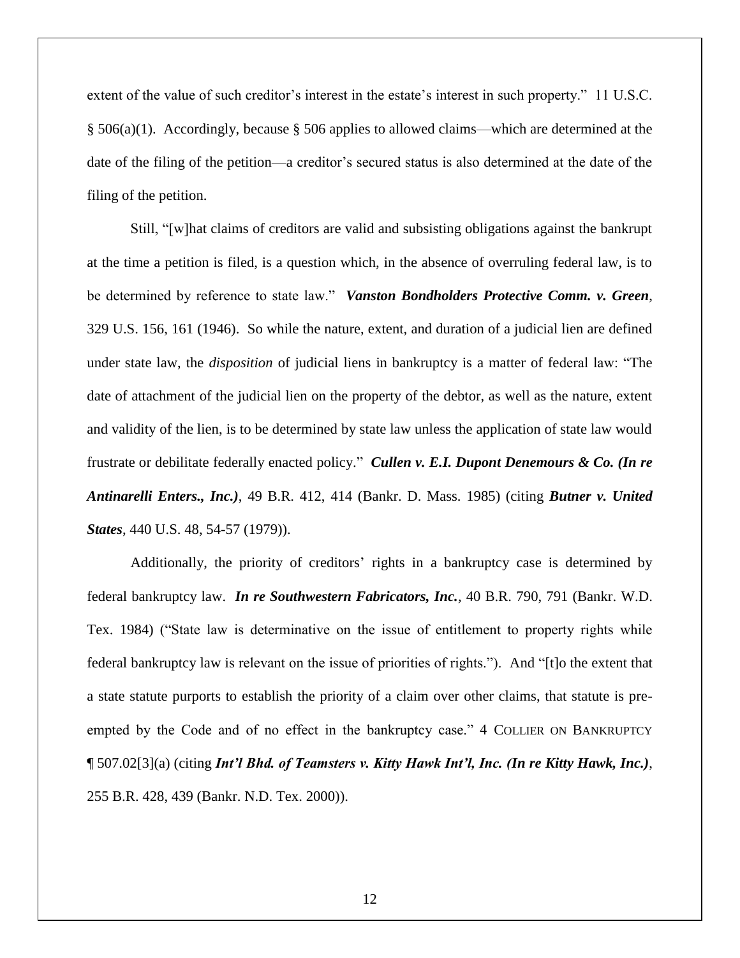extent of the value of such creditor's interest in the estate's interest in such property." 11 U.S.C. § 506(a)(1). Accordingly, because § 506 applies to allowed claims—which are determined at the date of the filing of the petition—a creditor's secured status is also determined at the date of the filing of the petition.

Still, "[w]hat claims of creditors are valid and subsisting obligations against the bankrupt at the time a petition is filed, is a question which, in the absence of overruling federal law, is to be determined by reference to state law." *Vanston Bondholders Protective Comm. v. Green*, 329 U.S. 156, 161 (1946). So while the nature, extent, and duration of a judicial lien are defined under state law, the *disposition* of judicial liens in bankruptcy is a matter of federal law: "The date of attachment of the judicial lien on the property of the debtor, as well as the nature, extent and validity of the lien, is to be determined by state law unless the application of state law would frustrate or debilitate federally enacted policy." *Cullen v. E.I. Dupont Denemours & Co. (In re Antinarelli Enters., Inc.)*, 49 B.R. 412, 414 (Bankr. D. Mass. 1985) (citing *Butner v. United States*, 440 U.S. 48, 54-57 (1979)).

Additionally, the priority of creditors' rights in a bankruptcy case is determined by federal bankruptcy law. *In re Southwestern Fabricators, Inc.,* 40 B.R. 790, 791 (Bankr. W.D. Tex. 1984) ("State law is determinative on the issue of entitlement to property rights while federal bankruptcy law is relevant on the issue of priorities of rights."). And "[t]o the extent that a state statute purports to establish the priority of a claim over other claims, that statute is preempted by the Code and of no effect in the bankruptcy case." 4 COLLIER ON BANKRUPTCY ¶ 507.02[3](a) (citing *Int'l Bhd. of Teamsters v. Kitty Hawk Int'l, Inc. (In re Kitty Hawk, Inc.)*, 255 B.R. 428, 439 (Bankr. N.D. Tex. 2000)).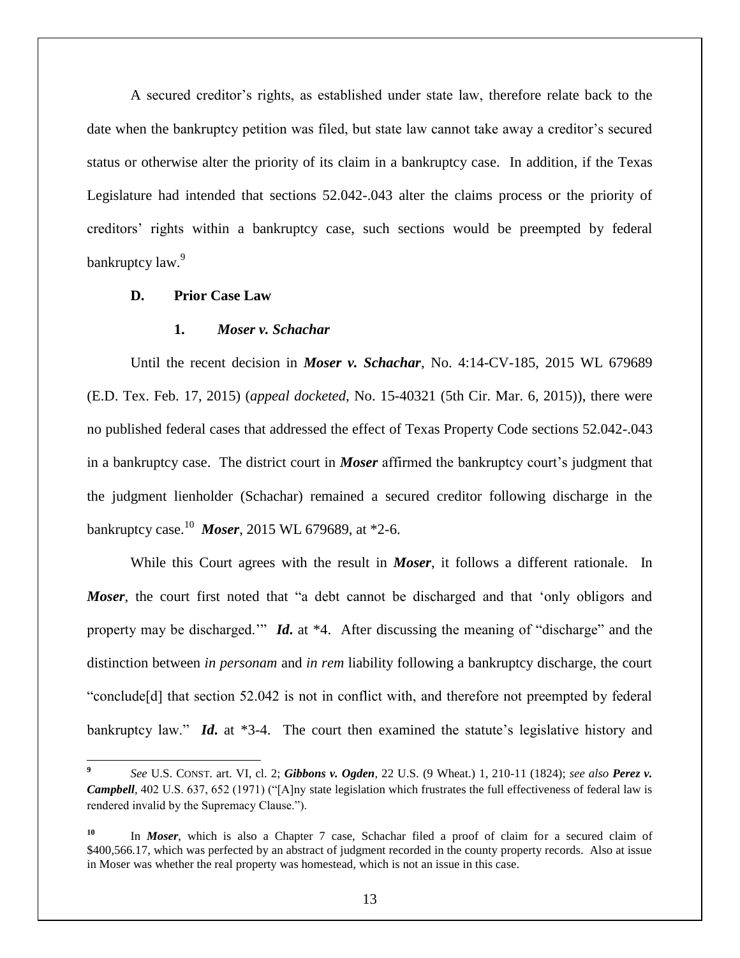A secured creditor's rights, as established under state law, therefore relate back to the date when the bankruptcy petition was filed, but state law cannot take away a creditor's secured status or otherwise alter the priority of its claim in a bankruptcy case. In addition, if the Texas Legislature had intended that sections 52.042-.043 alter the claims process or the priority of creditors' rights within a bankruptcy case, such sections would be preempted by federal bankruptcy law.<sup>9</sup>

### **D. Prior Case Law**

 $\overline{\phantom{a}}$ 

#### **1.** *Moser v. Schachar*

Until the recent decision in *Moser v. Schachar*, No. 4:14-CV-185, 2015 WL 679689 (E.D. Tex. Feb. 17, 2015) (*appeal docketed*, No. 15-40321 (5th Cir. Mar. 6, 2015)), there were no published federal cases that addressed the effect of Texas Property Code sections 52.042-.043 in a bankruptcy case. The district court in *Moser* affirmed the bankruptcy court's judgment that the judgment lienholder (Schachar) remained a secured creditor following discharge in the bankruptcy case.<sup>10</sup> *Moser*, 2015 WL 679689, at \*2-6.

While this Court agrees with the result in *Moser*, it follows a different rationale. In *Moser*, the court first noted that "a debt cannot be discharged and that 'only obligors and property may be discharged.'" *Id***.** at \*4. After discussing the meaning of "discharge" and the distinction between *in personam* and *in rem* liability following a bankruptcy discharge, the court "conclude[d] that section 52.042 is not in conflict with, and therefore not preempted by federal bankruptcy law." *Id***.** at \*3-4. The court then examined the statute's legislative history and

**<sup>9</sup>** *See* U.S. CONST. art. VI, cl. 2; *Gibbons v. Ogden*, 22 U.S. (9 Wheat.) 1, 210-11 (1824); *see also Perez v. Campbell*, 402 U.S. 637, 652 (1971) ("[A]ny state legislation which frustrates the full effectiveness of federal law is rendered invalid by the Supremacy Clause.").

**<sup>10</sup>** In *Moser*, which is also a Chapter 7 case, Schachar filed a proof of claim for a secured claim of \$400,566.17, which was perfected by an abstract of judgment recorded in the county property records. Also at issue in Moser was whether the real property was homestead, which is not an issue in this case.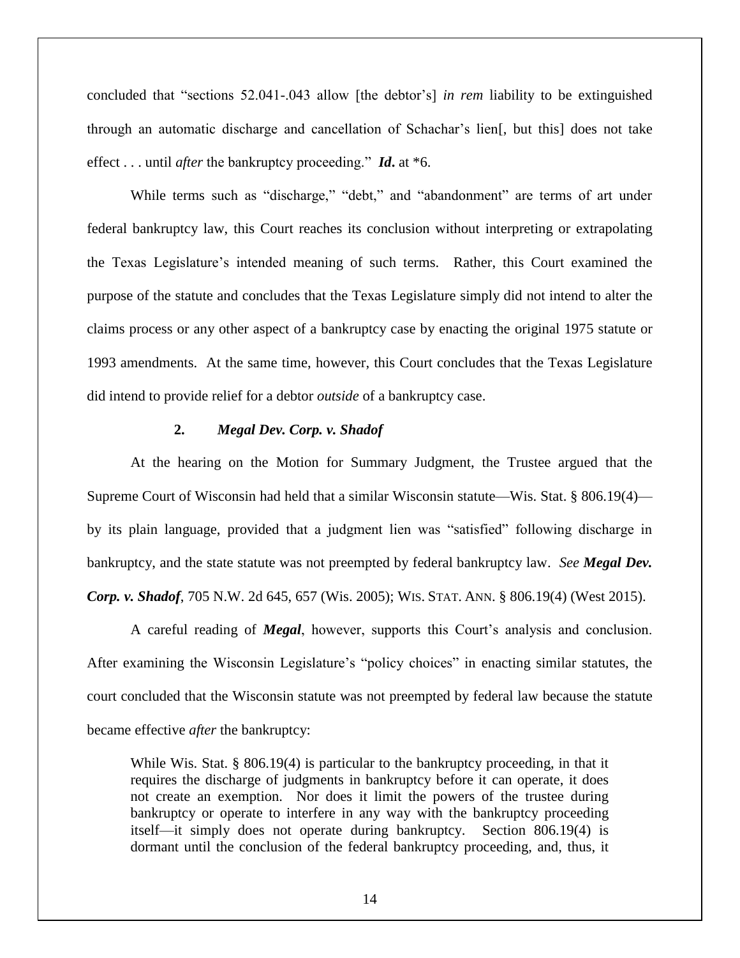concluded that "sections 52.041-.043 allow [the debtor's] *in rem* liability to be extinguished through an automatic discharge and cancellation of Schachar's lien[, but this] does not take effect . . . until *after* the bankruptcy proceeding." *Id***.** at \*6.

While terms such as "discharge," "debt," and "abandonment" are terms of art under federal bankruptcy law, this Court reaches its conclusion without interpreting or extrapolating the Texas Legislature's intended meaning of such terms. Rather, this Court examined the purpose of the statute and concludes that the Texas Legislature simply did not intend to alter the claims process or any other aspect of a bankruptcy case by enacting the original 1975 statute or 1993 amendments. At the same time, however, this Court concludes that the Texas Legislature did intend to provide relief for a debtor *outside* of a bankruptcy case.

## **2.** *Megal Dev. Corp. v. Shadof*

At the hearing on the Motion for Summary Judgment, the Trustee argued that the Supreme Court of Wisconsin had held that a similar Wisconsin statute—Wis. Stat. § 806.19(4) by its plain language, provided that a judgment lien was "satisfied" following discharge in bankruptcy, and the state statute was not preempted by federal bankruptcy law. *See Megal Dev. Corp. v. Shadof*, 705 N.W. 2d 645, 657 (Wis. 2005); WIS. STAT. ANN. § 806.19(4) (West 2015).

A careful reading of *Megal*, however, supports this Court's analysis and conclusion. After examining the Wisconsin Legislature's "policy choices" in enacting similar statutes, the court concluded that the Wisconsin statute was not preempted by federal law because the statute became effective *after* the bankruptcy:

While Wis. Stat. § 806.19(4) is particular to the bankruptcy proceeding, in that it requires the discharge of judgments in bankruptcy before it can operate, it does not create an exemption. Nor does it limit the powers of the trustee during bankruptcy or operate to interfere in any way with the bankruptcy proceeding itself—it simply does not operate during bankruptcy. Section 806.19(4) is dormant until the conclusion of the federal bankruptcy proceeding, and, thus, it